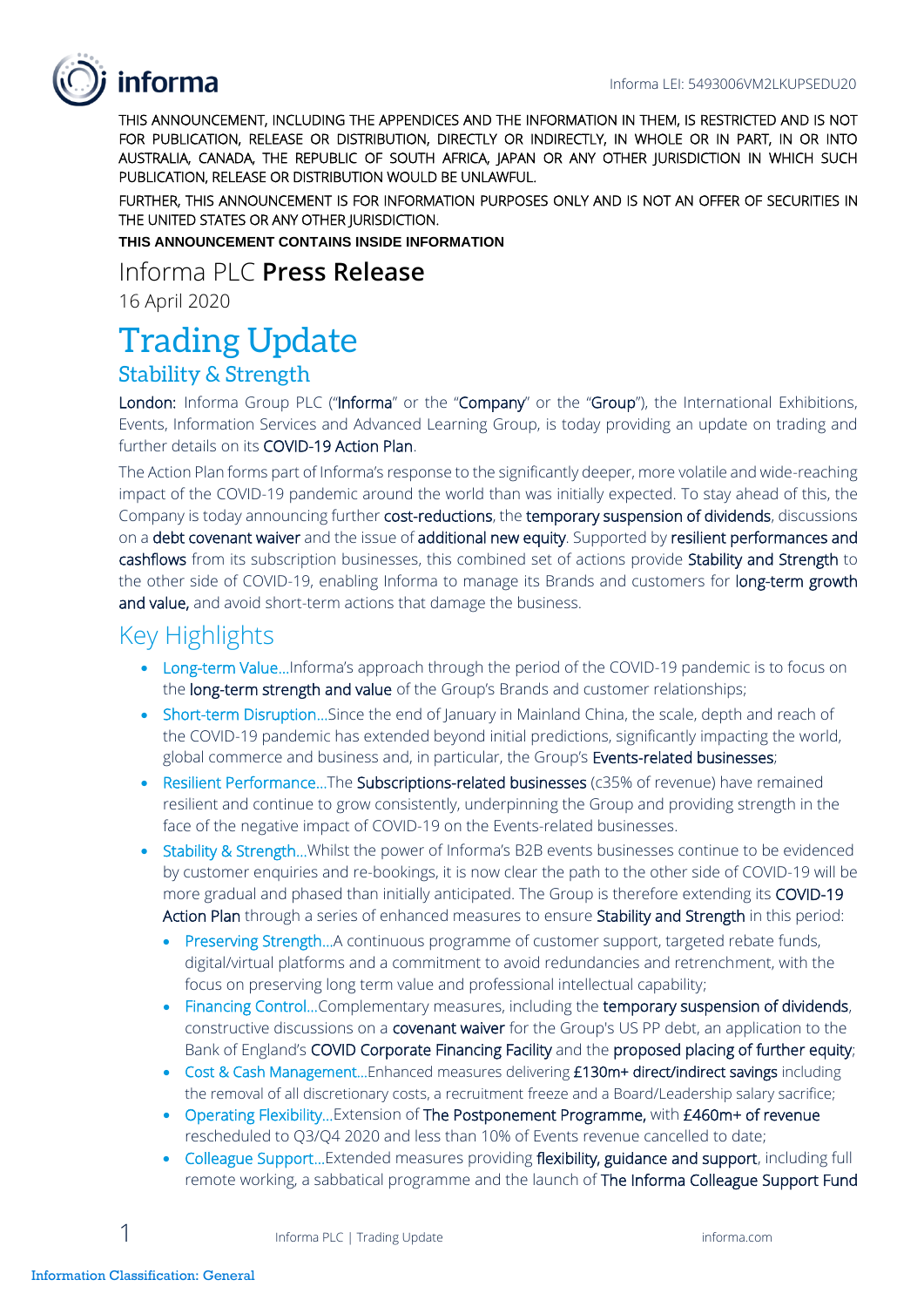# informa

THIS ANNOUNCEMENT, INCLUDING THE APPENDICES AND THE INFORMATION IN THEM, IS RESTRICTED AND IS NOT FOR PUBLICATION, RELEASE OR DISTRIBUTION, DIRECTLY OR INDIRECTLY, IN WHOLE OR IN PART, IN OR INTO AUSTRALIA, CANADA, THE REPUBLIC OF SOUTH AFRICA, JAPAN OR ANY OTHER JURISDICTION IN WHICH SUCH PUBLICATION, RELEASE OR DISTRIBUTION WOULD BE UNLAWFUL.

FURTHER, THIS ANNOUNCEMENT IS FOR INFORMATION PURPOSES ONLY AND IS NOT AN OFFER OF SECURITIES IN THE UNITED STATES OR ANY OTHER JURISDICTION.

**THIS ANNOUNCEMENT CONTAINS INSIDE INFORMATION**

Informa PLC **Press Release**

16 April 2020

# Trading Update

### Stability & Strength

London: Informa Group PLC ("Informa" or the "Company" or the "Group"), the International Exhibitions, Events, Information Services and Advanced Learning Group, is today providing an update on trading and further details on its COVID-19 Action Plan.

The Action Plan forms part of Informa's response to the significantly deeper, more volatile and wide-reaching impact of the COVID-19 pandemic around the world than was initially expected. To stay ahead of this, the Company is today announcing further cost-reductions, the temporary suspension of dividends, discussions on a debt covenant waiver and the issue of additional new equity. Supported by resilient performances and cashflows from its subscription businesses, this combined set of actions provide Stability and Strength to the other side of COVID-19, enabling Informa to manage its Brands and customers for long-term growth and value, and avoid short-term actions that damage the business.

# Key Highlights

- Long-term Value...Informa's approach through the period of the COVID-19 pandemic is to focus on the long-term strength and value of the Group's Brands and customer relationships;
- Short-term Disruption... Since the end of January in Mainland China, the scale, depth and reach of the COVID-19 pandemic has extended beyond initial predictions, significantly impacting the world, global commerce and business and, in particular, the Group's Events-related businesses;
- Resilient Performance…The Subscriptions-related businesses (c35% of revenue) have remained resilient and continue to grow consistently, underpinning the Group and providing strength in the face of the negative impact of COVID-19 on the Events-related businesses.
- Stability & Strength…Whilst the power of Informa's B2B events businesses continue to be evidenced by customer enquiries and re-bookings, it is now clear the path to the other side of COVID-19 will be more gradual and phased than initially anticipated. The Group is therefore extending its COVID-19 Action Plan through a series of enhanced measures to ensure Stability and Strength in this period:
	- Preserving Strength...A continuous programme of customer support, targeted rebate funds, digital/virtual platforms and a commitment to avoid redundancies and retrenchment, with the focus on preserving long term value and professional intellectual capability;
	- Financing Control...Complementary measures, including the temporary suspension of dividends, constructive discussions on a **covenant waiver** for the Group's US PP debt, an application to the Bank of England's COVID Corporate Financing Facility and the proposed placing of further equity;
	- Cost & Cash Management... Enhanced measures delivering £130m+ direct/indirect savings including the removal of all discretionary costs, a recruitment freeze and a Board/Leadership salary sacrifice;
	- Operating Flexibility... Extension of The Postponement Programme, with £460m+ of revenue rescheduled to Q3/Q4 2020 and less than 10% of Events revenue cancelled to date;
	- Colleague Support... Extended measures providing flexibility, guidance and support, including full remote working, a sabbatical programme and the launch of The Informa Colleague Support Fund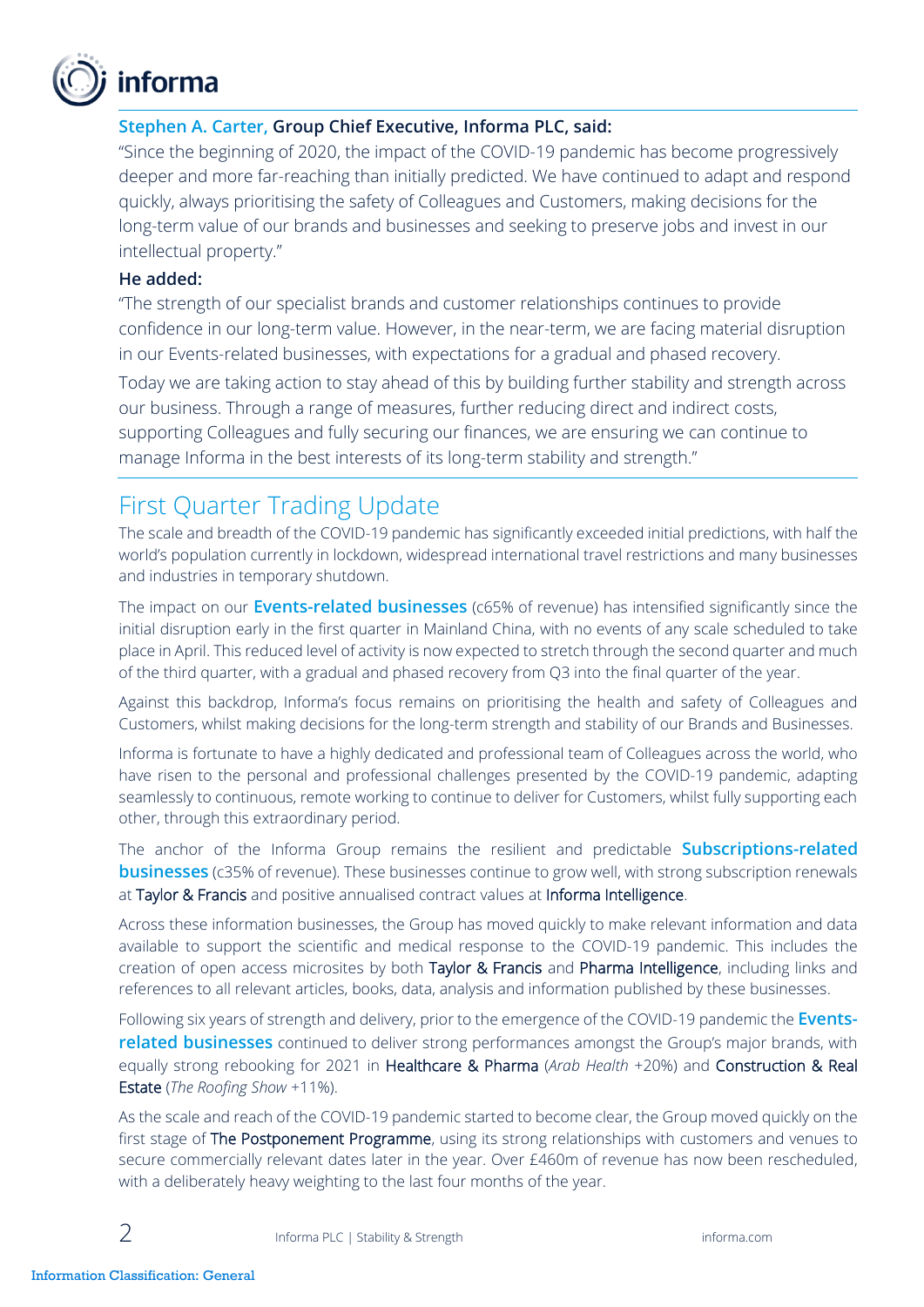

#### **Stephen A. Carter, Group Chief Executive, Informa PLC, said:**

"Since the beginning of 2020, the impact of the COVID-19 pandemic has become progressively deeper and more far-reaching than initially predicted. We have continued to adapt and respond quickly, always prioritising the safety of Colleagues and Customers, making decisions for the long-term value of our brands and businesses and seeking to preserve jobs and invest in our intellectual property."

#### **He added:**

"The strength of our specialist brands and customer relationships continues to provide confidence in our long-term value. However, in the near-term, we are facing material disruption in our Events-related businesses, with expectations for a gradual and phased recovery.

Today we are taking action to stay ahead of this by building further stability and strength across our business. Through a range of measures, further reducing direct and indirect costs, supporting Colleagues and fully securing our finances, we are ensuring we can continue to manage Informa in the best interests of its long-term stability and strength."

# First Quarter Trading Update

The scale and breadth of the COVID-19 pandemic has significantly exceeded initial predictions, with half the world's population currently in lockdown, widespread international travel restrictions and many businesses and industries in temporary shutdown.

The impact on our **Events-related businesses** (c65% of revenue) has intensified significantly since the initial disruption early in the first quarter in Mainland China, with no events of any scale scheduled to take place in April. This reduced level of activity is now expected to stretch through the second quarter and much of the third quarter, with a gradual and phased recovery from Q3 into the final quarter of the year.

Against this backdrop, Informa's focus remains on prioritising the health and safety of Colleagues and Customers, whilst making decisions for the long-term strength and stability of our Brands and Businesses.

Informa is fortunate to have a highly dedicated and professional team of Colleagues across the world, who have risen to the personal and professional challenges presented by the COVID-19 pandemic, adapting seamlessly to continuous, remote working to continue to deliver for Customers, whilst fully supporting each other, through this extraordinary period.

The anchor of the Informa Group remains the resilient and predictable **Subscriptions-related businesses** (c35% of revenue). These businesses continue to grow well, with strong subscription renewals at Taylor & Francis and positive annualised contract values at Informa Intelligence.

Across these information businesses, the Group has moved quickly to make relevant information and data available to support the scientific and medical response to the COVID-19 pandemic. This includes the creation of open access microsites by both Taylor & Francis and Pharma Intelligence, including links and references to all relevant articles, books, data, analysis and information published by these businesses.

Following six years of strength and delivery, prior to the emergence of the COVID-19 pandemic the **Eventsrelated businesses** continued to deliver strong performances amongst the Group's major brands, with equally strong rebooking for 2021 in Healthcare & Pharma (*Arab Health* +20%) and Construction & Real Estate (*The Roofing Show* +11%).

As the scale and reach of the COVID-19 pandemic started to become clear, the Group moved quickly on the first stage of The Postponement Programme, using its strong relationships with customers and venues to secure commercially relevant dates later in the year. Over £460m of revenue has now been rescheduled, with a deliberately heavy weighting to the last four months of the year.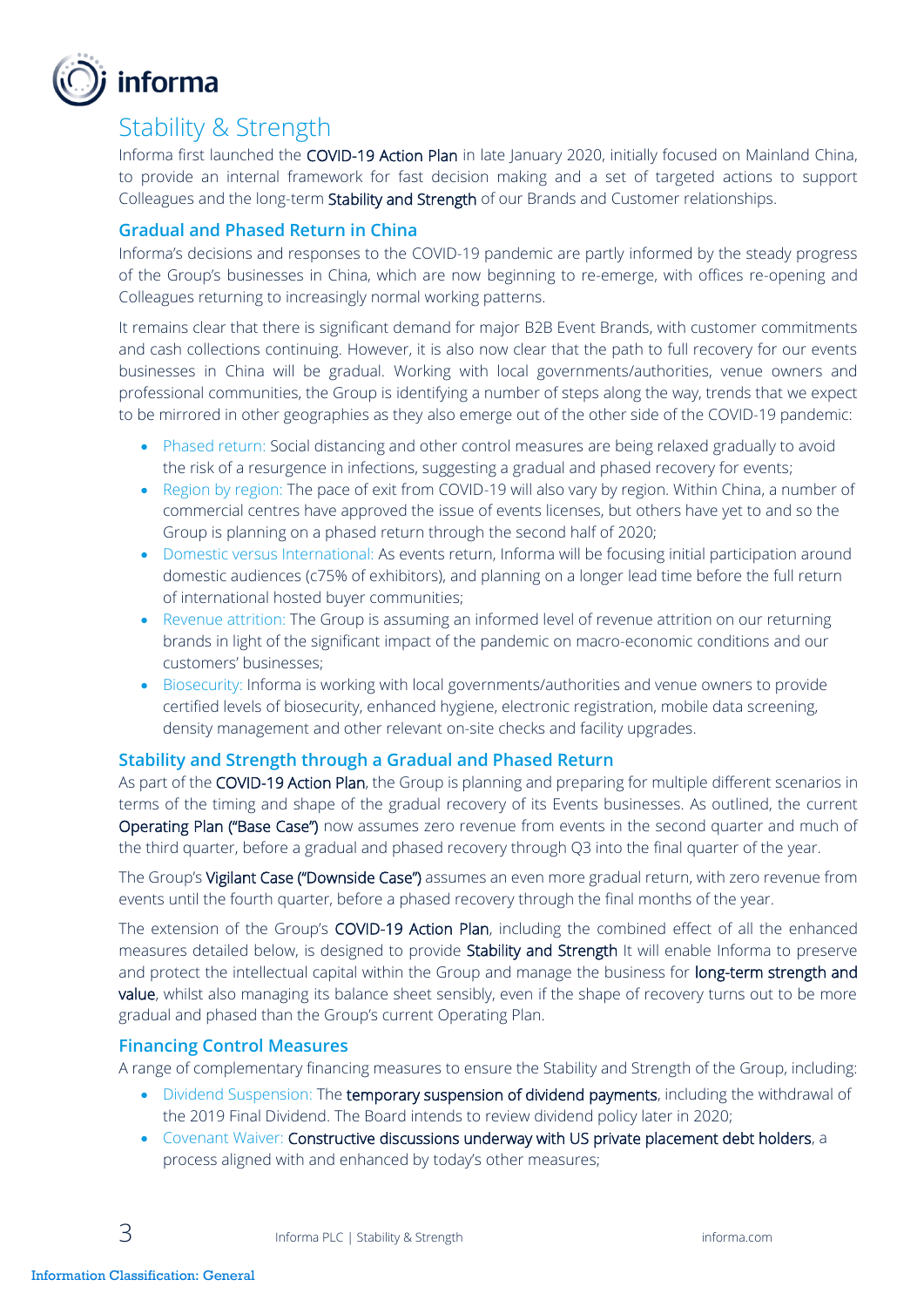

## Stability & Strength

Informa first launched the COVID-19 Action Plan in late January 2020, initially focused on Mainland China, to provide an internal framework for fast decision making and a set of targeted actions to support Colleagues and the long-term Stability and Strength of our Brands and Customer relationships.

#### **Gradual and Phased Return in China**

Informa's decisions and responses to the COVID-19 pandemic are partly informed by the steady progress of the Group's businesses in China, which are now beginning to re-emerge, with offices re-opening and Colleagues returning to increasingly normal working patterns.

It remains clear that there is significant demand for major B2B Event Brands, with customer commitments and cash collections continuing. However, it is also now clear that the path to full recovery for our events businesses in China will be gradual. Working with local governments/authorities, venue owners and professional communities, the Group is identifying a number of steps along the way, trends that we expect to be mirrored in other geographies as they also emerge out of the other side of the COVID-19 pandemic:

- Phased return: Social distancing and other control measures are being relaxed gradually to avoid the risk of a resurgence in infections, suggesting a gradual and phased recovery for events;
- Region by region: The pace of exit from COVID-19 will also vary by region. Within China, a number of commercial centres have approved the issue of events licenses, but others have yet to and so the Group is planning on a phased return through the second half of 2020;
- Domestic versus International: As events return, Informa will be focusing initial participation around domestic audiences (c75% of exhibitors), and planning on a longer lead time before the full return of international hosted buyer communities;
- Revenue attrition: The Group is assuming an informed level of revenue attrition on our returning brands in light of the significant impact of the pandemic on macro-economic conditions and our customers' businesses;
- Biosecurity: Informa is working with local governments/authorities and venue owners to provide certified levels of biosecurity, enhanced hygiene, electronic registration, mobile data screening, density management and other relevant on-site checks and facility upgrades.

#### **Stability and Strength through a Gradual and Phased Return**

As part of the COVID-19 Action Plan, the Group is planning and preparing for multiple different scenarios in terms of the timing and shape of the gradual recovery of its Events businesses. As outlined, the current Operating Plan ("Base Case") now assumes zero revenue from events in the second quarter and much of the third quarter, before a gradual and phased recovery through Q3 into the final quarter of the year.

The Group's Vigilant Case ("Downside Case") assumes an even more gradual return, with zero revenue from events until the fourth quarter, before a phased recovery through the final months of the year.

The extension of the Group's COVID-19 Action Plan, including the combined effect of all the enhanced measures detailed below, is designed to provide Stability and Strength It will enable Informa to preserve and protect the intellectual capital within the Group and manage the business for long-term strength and value, whilst also managing its balance sheet sensibly, even if the shape of recovery turns out to be more gradual and phased than the Group's current Operating Plan.

#### **Financing Control Measures**

A range of complementary financing measures to ensure the Stability and Strength of the Group, including:

- Dividend Suspension: The temporary suspension of dividend payments, including the withdrawal of the 2019 Final Dividend. The Board intends to review dividend policy later in 2020;
- Covenant Waiver: Constructive discussions underway with US private placement debt holders, a process aligned with and enhanced by today's other measures;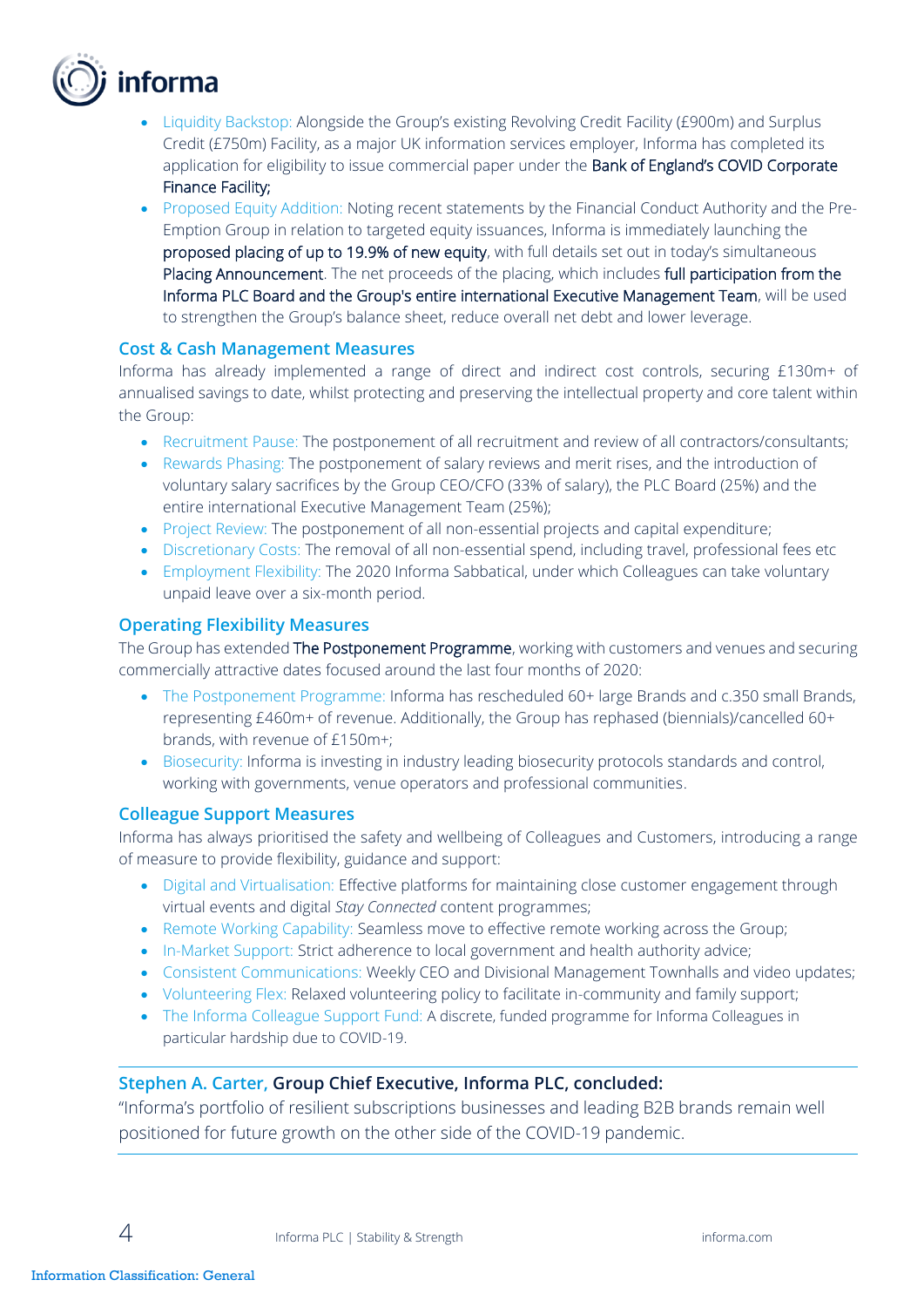

- Liquidity Backstop: Alongside the Group's existing Revolving Credit Facility (£900m) and Surplus Credit (£750m) Facility, as a major UK information services employer, Informa has completed its application for eligibility to issue commercial paper under the Bank of England's COVID Corporate Finance Facility;
- Proposed Equity Addition: Noting recent statements by the Financial Conduct Authority and the Pre-Emption Group in relation to targeted equity issuances, Informa is immediately launching the proposed placing of up to 19.9% of new equity, with full details set out in today's simultaneous Placing Announcement. The net proceeds of the placing, which includes full participation from the Informa PLC Board and the Group's entire international Executive Management Team, will be used to strengthen the Group's balance sheet, reduce overall net debt and lower leverage.

#### **Cost & Cash Management Measures**

Informa has already implemented a range of direct and indirect cost controls, securing £130m+ of annualised savings to date, whilst protecting and preserving the intellectual property and core talent within the Group:

- Recruitment Pause: The postponement of all recruitment and review of all contractors/consultants;
- Rewards Phasing: The postponement of salary reviews and merit rises, and the introduction of voluntary salary sacrifices by the Group CEO/CFO (33% of salary), the PLC Board (25%) and the entire international Executive Management Team (25%);
- Project Review: The postponement of all non-essential projects and capital expenditure;
- Discretionary Costs: The removal of all non-essential spend, including travel, professional fees etc
- Employment Flexibility: The 2020 Informa Sabbatical, under which Colleagues can take voluntary unpaid leave over a six-month period.

#### **Operating Flexibility Measures**

The Group has extended The Postponement Programme, working with customers and venues and securing commercially attractive dates focused around the last four months of 2020:

- The Postponement Programme: Informa has rescheduled 60+ large Brands and c.350 small Brands, representing £460m+ of revenue. Additionally, the Group has rephased (biennials)/cancelled 60+ brands, with revenue of £150m+;
- Biosecurity: Informa is investing in industry leading biosecurity protocols standards and control, working with governments, venue operators and professional communities.

#### **Colleague Support Measures**

Informa has always prioritised the safety and wellbeing of Colleagues and Customers, introducing a range of measure to provide flexibility, guidance and support:

- Digital and Virtualisation: Effective platforms for maintaining close customer engagement through virtual events and digital *Stay Connected* content programmes;
- Remote Working Capability: Seamless move to effective remote working across the Group;
- In-Market Support: Strict adherence to local government and health authority advice;
- Consistent Communications: Weekly CEO and Divisional Management Townhalls and video updates;
- Volunteering Flex: Relaxed volunteering policy to facilitate in-community and family support;
- The Informa Colleague Support Fund: A discrete, funded programme for Informa Colleagues in particular hardship due to COVID-19.

#### **Stephen A. Carter, Group Chief Executive, Informa PLC, concluded:**

"Informa's portfolio of resilient subscriptions businesses and leading B2B brands remain well positioned for future growth on the other side of the COVID-19 pandemic.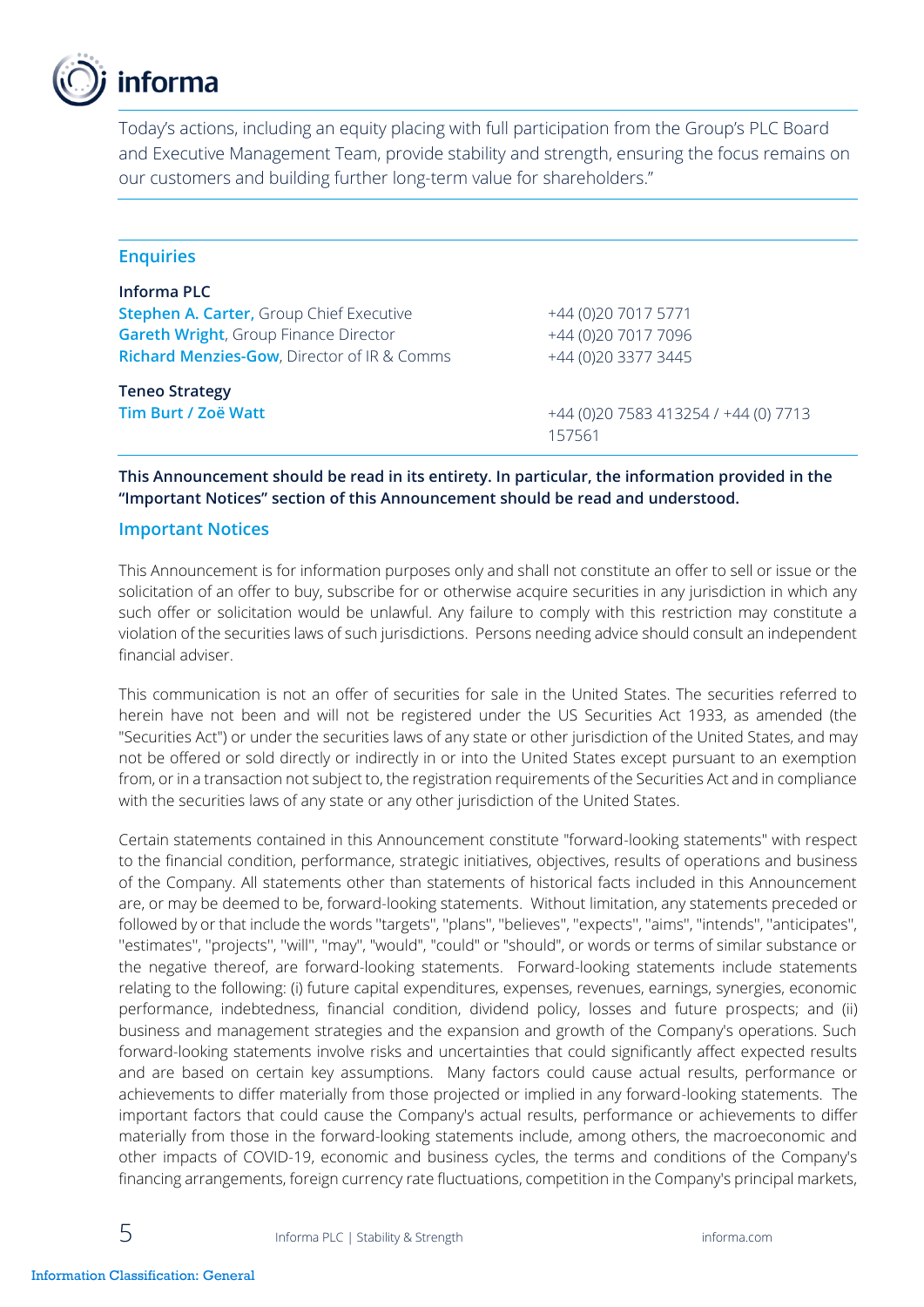

Today's actions, including an equity placing with full participation from the Group's PLC Board and Executive Management Team, provide stability and strength, ensuring the focus remains on our customers and building further long-term value for shareholders."

| <b>Enquiries</b>                                       |                                       |
|--------------------------------------------------------|---------------------------------------|
| Informa PLC                                            |                                       |
| <b>Stephen A. Carter, Group Chief Executive</b>        | +44 (0) 20 7017 5771                  |
| <b>Gareth Wright, Group Finance Director</b>           | +44 (0)20 7017 7096                   |
| <b>Richard Menzies-Gow, Director of IR &amp; Comms</b> | +44 (0)20 3377 3445                   |
| <b>Teneo Strategy</b>                                  |                                       |
| Tim Burt / Zoë Watt                                    | +44 (0) 20 7583 413254 / +44 (0) 7713 |
|                                                        | 157561                                |

**This Announcement should be read in its entirety. In particular, the information provided in the "Important Notices" section of this Announcement should be read and understood.** 

#### **Important Notices**

This Announcement is for information purposes only and shall not constitute an offer to sell or issue or the solicitation of an offer to buy, subscribe for or otherwise acquire securities in any jurisdiction in which any such offer or solicitation would be unlawful. Any failure to comply with this restriction may constitute a violation of the securities laws of such jurisdictions. Persons needing advice should consult an independent financial adviser.

This communication is not an offer of securities for sale in the United States. The securities referred to herein have not been and will not be registered under the US Securities Act 1933, as amended (the "Securities Act") or under the securities laws of any state or other jurisdiction of the United States, and may not be offered or sold directly or indirectly in or into the United States except pursuant to an exemption from, or in a transaction not subject to, the registration requirements of the Securities Act and in compliance with the securities laws of any state or any other jurisdiction of the United States.

Certain statements contained in this Announcement constitute "forward-looking statements" with respect to the financial condition, performance, strategic initiatives, objectives, results of operations and business of the Company. All statements other than statements of historical facts included in this Announcement are, or may be deemed to be, forward-looking statements. Without limitation, any statements preceded or followed by or that include the words ''targets'', ''plans'', ''believes'', ''expects'', ''aims'', ''intends'', ''anticipates'', ''estimates'', ''projects'', ''will'', ''may'', "would", "could" or "should", or words or terms of similar substance or the negative thereof, are forward-looking statements. Forward-looking statements include statements relating to the following: (i) future capital expenditures, expenses, revenues, earnings, synergies, economic performance, indebtedness, financial condition, dividend policy, losses and future prospects; and (ii) business and management strategies and the expansion and growth of the Company's operations. Such forward-looking statements involve risks and uncertainties that could significantly affect expected results and are based on certain key assumptions. Many factors could cause actual results, performance or achievements to differ materially from those projected or implied in any forward-looking statements. The important factors that could cause the Company's actual results, performance or achievements to differ materially from those in the forward-looking statements include, among others, the macroeconomic and other impacts of COVID-19, economic and business cycles, the terms and conditions of the Company's financing arrangements, foreign currency rate fluctuations, competition in the Company's principal markets,